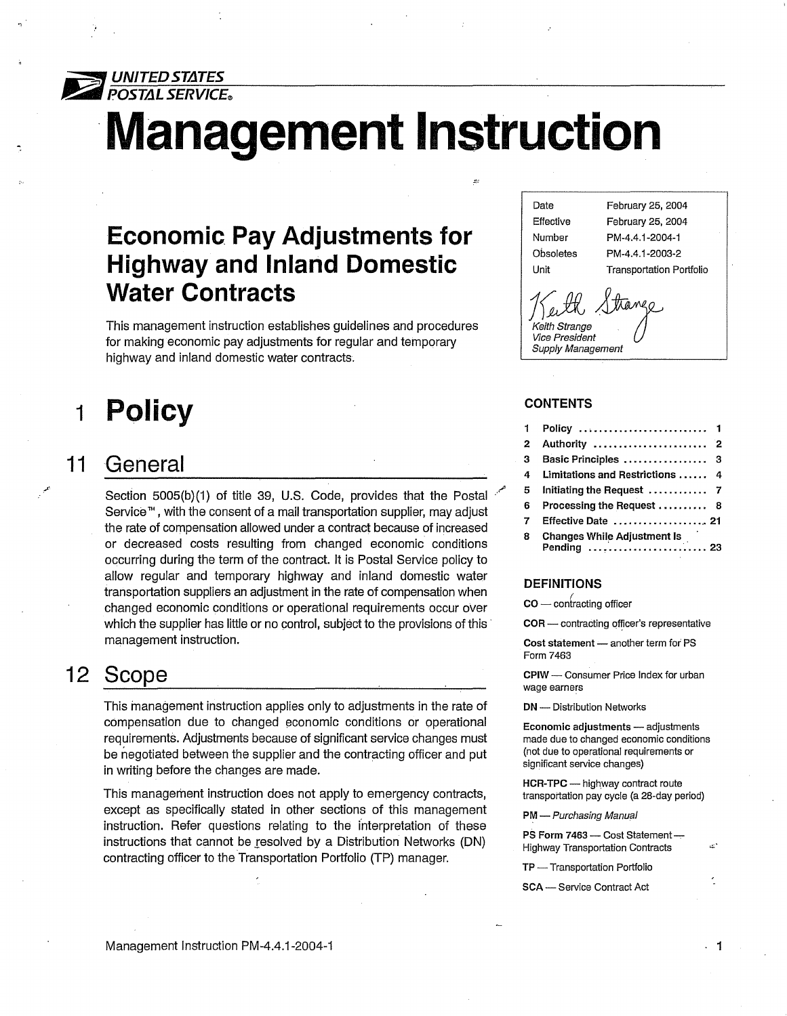

# **Management Instruction**

### **Economic Pay Adjustments for Highway and Inland Domestic Water Contracts**

This management instruction establishes guidelines and procedures for making economic pay adjustments for regular and temporary highway and inland domestic water contracts.

#### **1 Policy**

#### **11 General**

Section 5005(b)(1) of title 39, U.S. Code, provides that the Postal Service<sup>™</sup>, with the consent of a mail transportation supplier, may adjust the rate of compensation allowed under a contract because of increased or decreased costs resulting from changed economic conditions occurring during the term of the contract. It is Postal Service policy to allow regular and temporary highway and inland domestic water transportation suppliers an adjustment in the rate of compensation when changed economic conditions or operational requirements occur over which the supplier has little or no control, subject to the provisions of this management instruction.

### **12 Scope**

This management instruction applies only to adjustments in the rate of compensation due to changed economic conditions or operational requirements. Adjustments because of significant service changes must be negotiated between the supplier and the contracting officer and put in writing before the changes are made.

This management instruction does not apply to emergency contracts, except as specifically stated in other sections of this management instruction. Refer questions relating to the interpretation of these instructions that cannot be resolved by a Distribution Networks (DN) contracting officer to the Transportation Portfolio (TP) manager.

Date February 25, 2004 Effective Number **Obsoletes** Unit February 25, 2004 PM-4.4.1-2004-1 PM-4.4. 1-2003-2 Transportation Portfolio *J<sub>J</sub> <i>Ju Juange*<br>*J*<sub>J</sub> *Jul Juange*<br>*Vice President* Vice President

#### **CONTENTS**

Supply Management

.··"'

| 1 |                                                   |  |
|---|---------------------------------------------------|--|
| 2 | Authority  2                                      |  |
| з | Basic Principles  3                               |  |
| 4 | Limitations and Restrictions  4                   |  |
| 5 |                                                   |  |
| 6 | Processing the Request  8                         |  |
| 7 | Effective Date  21                                |  |
| 8 | <b>Changes While Adjustment Is</b><br>Pending  23 |  |

#### **DEFINITIONS**

 $\mathsf{co}-\mathsf{contracting}$  officer

COR - contracting officer's representative

Cost statement - another term for PS Form 7463

CPIW - Consumer Price Index for urban wage earners

DN - Distribution Networks

Economic adjustments - adjustments made due to changed economic conditions (not due to operational requirements or significant service changes)

HCR-TPC - highway contract route transportation pay cycle (a 28-day period)

. **1** 

PM - Purchasing Manual

PS Form 7463 - Cost Statement-Highway Transportation Contracts ..:·

TP - Transportation Portfolio

SCA - Service Contract Act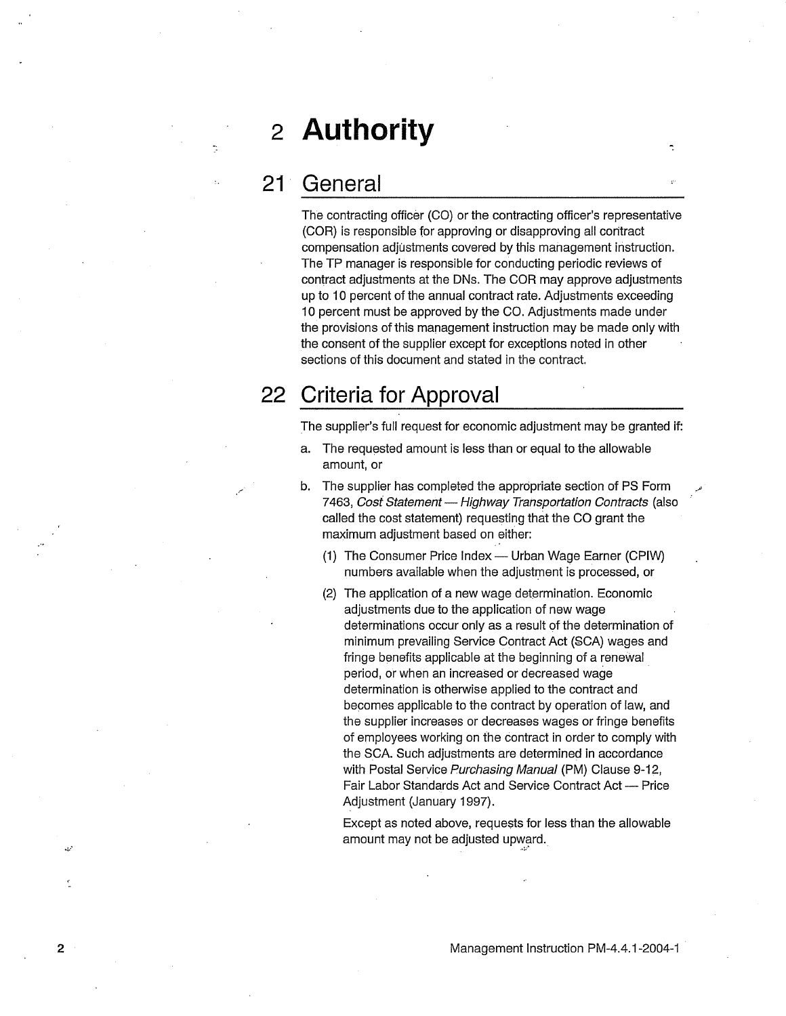### **2 Authority**

### **21 General**

The contracting officer (CO) or the contracting officer's representative (COR) is responsible for approving or disapproving all contract compensation adjustments covered by this management instruction. The TP manager is responsible for conducting periodic reviews of contract adjustments at the DNs. The COR may approve adjustments up to 10 percent of the annual contract rate. Adjustments exceeding 10 percent must be approved by the CO. Adjustments made under the provisions of this management instruction may be made only with the consent of the supplier except for exceptions noted in other sections of this document and stated in the contract.

### **22 Criteria for Approval**

The supplier's full request for economic adjustment may be granted if:

- a. The requested amount is less than or equal to the allowable amount, or
- b. The supplier has completed the appropriate section of PS Form 7463, Cost Statement - Highway Transportation Contracts (also called the cost statement) requesting that the CO grant the maximum adjustment based on either:
	- (1) The Consumer Price Index Urban Wage Earner (CPIW) numbers available when the adjustment is processed, or
	- (2) The application of a new wage determination. Economic adjustments due to the application of new wage determinations occur only as a result of the determination of minimum prevailing Service Contract Act (SCA) wages and fringe benefits applicable at the beginning of a renewal period, or when an increased or decreased wage determination is otherwise applied to the contract and becomes applicable to the contract by operation of law, and the supplier increases or decreases wages or fringe benefits of employees working on the contract in order to comply with the SCA. Such adjustments are determined in accordance with Postal Service Purchasing Manual (PM) Clause 9-12, Fair Labor Standards Act and Service Contract Act - Price Adjustment (January 1997).

Except as noted above, requests for less than the allowable amount may not be adjusted upward.

*.. ;.:•* 

~;./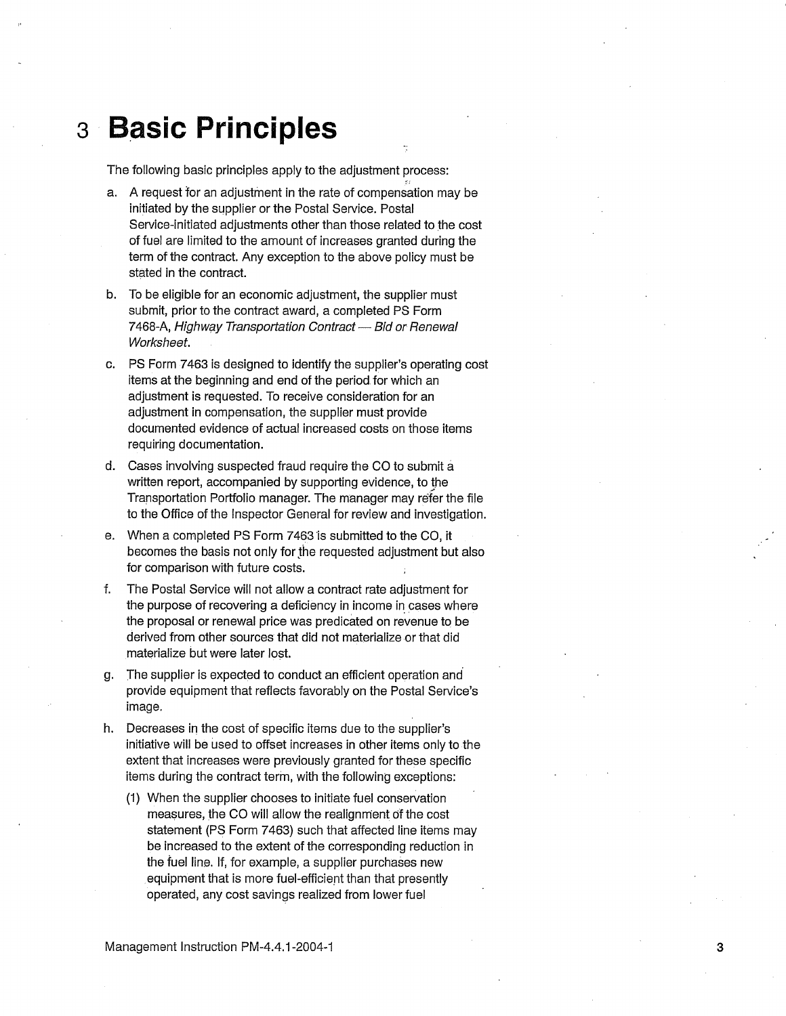### **3 B.asic Principles**

The following basic principles apply to the adjustment process:

- a. A request for an adjustment in the rate of compensation may be initiated by the supplier or the Postal Service. Postal Service-initiated adjustments other than those related to the cost of fuel are limited to the amount of increases granted during the term of the contract. Any exception to the above policy must be stated in the contract.
- b. To be eligible for an economic adjustment, the supplier must submit, prior to the contract award, a completed PS Form 7468-A, Highway Transportation Contract — Bid or Renewal Worksheet.
- c. PS Form 7463 is designed to identify the supplier's operating cost items at the beginning and end of the period for which an adjustment is requested. To receive consideration for an adjustment in compensation, the supplier must provide documented evidence of actual increased costs on those items requiring documentation.
- d. Cases involving suspected fraud require the CO to submit a written report, accompanied by supporting evidence, to the Transportation Portfolio manager. The manager may refer the file to the Office of the Inspector General for review and investigation.
- e. When a completed PS Form 7463 is submitted to the CO, it becomes the basis not only for the requested adjustment but also for comparison with future costs.
- f. The Postal Service will not allow a contract rate adjustment for the purpose of recovering a deficiency in income in cases where the proposal or renewal price was predicated on revenue to be derived from other sources that did not materialize or that did materialize but were later lost.
- g. The supplier is expected to conduct an efficient operation *and*  provide equipment that reflects favorably on the Postal Service's image.
- h. Decreases in the cost of specific items due to the supplier's initiative will be used to offset increases in other items only to the extent that increases were previously granted for these specific items during the contract term, with the following exceptions:
	- (1) When the supplier chooses to initiate fuel conservation measures, the CO will allow the realignment of the cost statement (PS Form 7463) such that affected line items may be increased to the extent of the corresponding reduction in the fuel line. If, for example, a supplier purchases new equipment that is more fuel-efficient than that presently operated, any cost savings realized from lower fuel

3

.'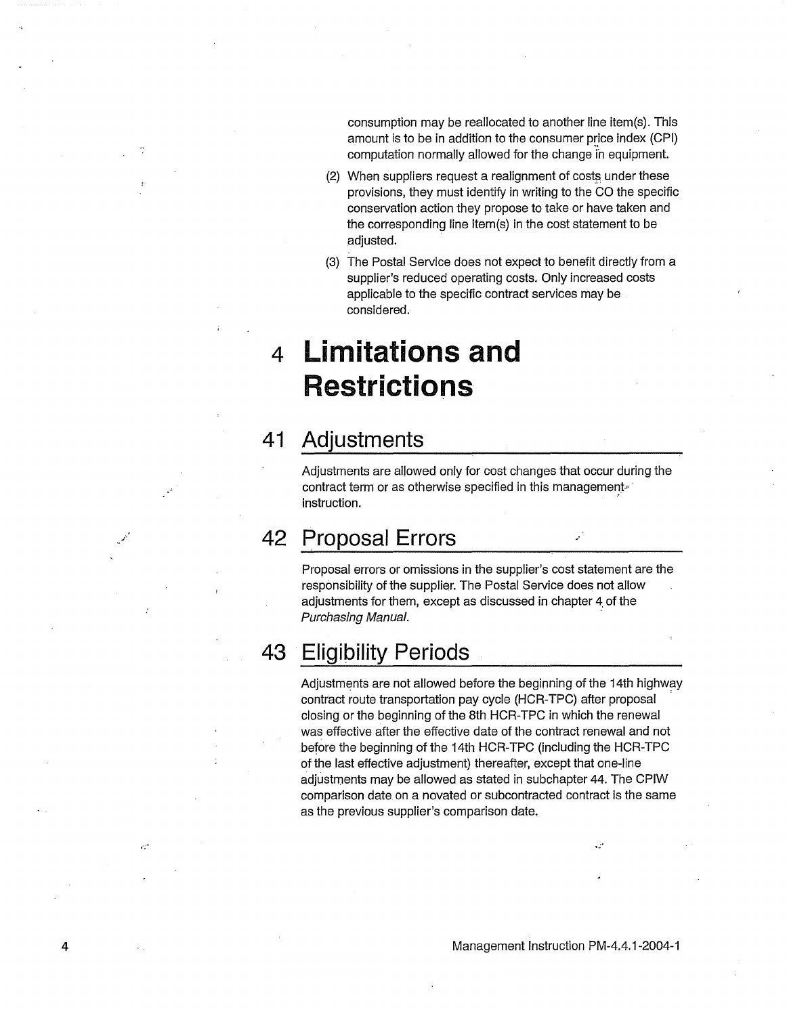consumption may be reallocated to another line item(s). This amount is to be in addition to the consumer price index (CPI) computation normally allowed for the change in equipment.

- (2) When suppliers request a realignment of costs under these provisions, they must identify in writing to the CO the specific conservation action they propose to take or have taken and the corresponding line item(s) in the cost statement to be adjusted.
- (3) The Postal Service does not expect to benefit directly from a supplier's reduced operating costs. Only increased costs applicable to the specific contract services may be considered.

### **4 Limitations and Restrictions**

### **41 Adjustments**

Adjustments are allowed only for cost changes that occur during the contract term or as otherwise specified in this management. instruction.

### **42 Proposal Errors**

Proposal errors or omissions in the supplier's cost statement are the responsibility of the supplier. The Postal Service does not allow adjustments for them, except as discussed in chapter 4. of the Purchasing Manual.

### **43 Eligibility Periods**

4

ć.

Adjustments are not allowed before the beginning of the 14th highway contract route transportation pay cycle (HCR-TPC) after proposal closing or the beginning of the 8th HCR-TPC in which the renewal was effective after the effective date of the contract renewal and not before the beginning of the 14th HCR-TPC (including the HCR-TPC of the last effective adjustment) thereafter, except that one-line adjustments may be allowed as stated in subchapter 44. The CPIW comparison date on a novated or subcontracted contract is the same as the previous supplier's comparison date.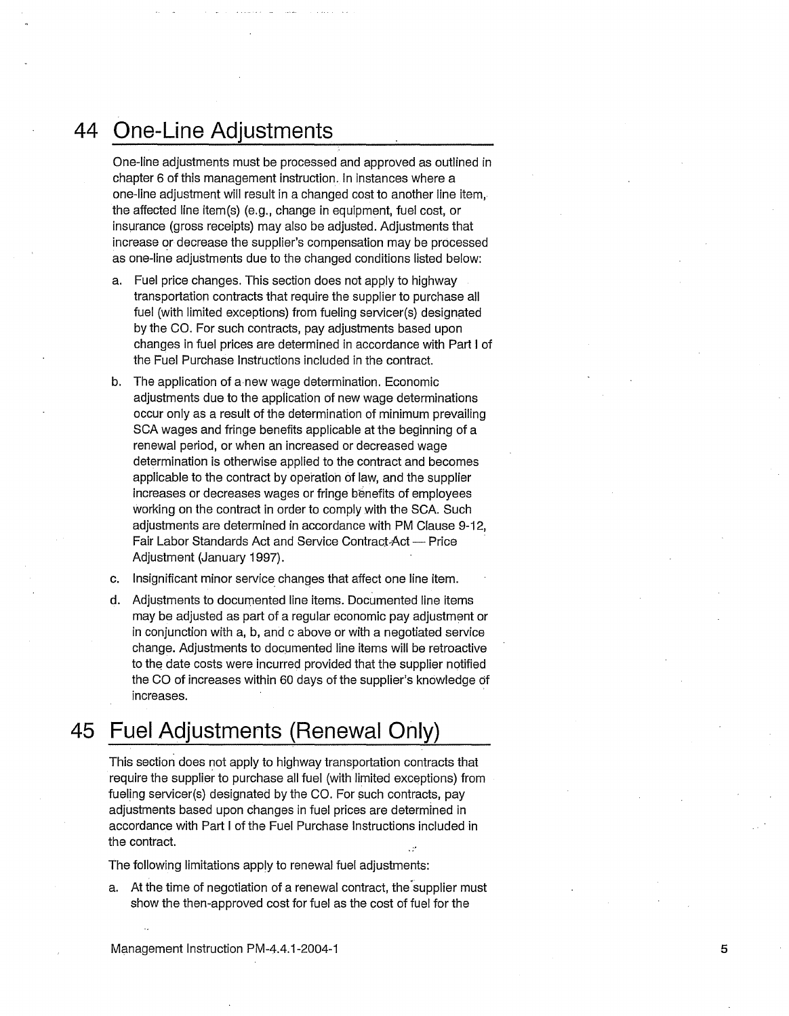### **44 One-Line Adjustments**

One-line adjustments must be processed and approved as outlined in chapter 6 of this management instruction. In instances where a one-line adjustment will result in a changed cost to another line item, the affected line item(s) (e.g., change in equipment, fuel cost, or insurance (gross receipts) may also be adjusted. Adjustments that increase or decrease the supplier's compensation may be processed as one-line adjustments due to the changed conditions listed below:

- a. Fuel price changes. This section does not apply to highway transportation contracts that require the supplier to purchase all fuel (with limited exceptions) from fueling servicer(s) designated by the CO. For such contracts, pay adjustments based upon changes in fuel prices are determined in accordance with Part I of the Fuel Purchase Instructions included in the contract.
- b. The application of a new wage determination. Economic adjustments due to the application of new wage determinations occur only as a result of the determination of minimum prevailing SCA wages and fringe benefits applicable at the beginning of a renewal period, or when an increased or decreased wage determination is otherwise applied to the contract and becomes applicable to the contract by operation of law, and the supplier increases or decreases wages or fringe benefits of employees working on the contract in order to comply with the SCA. Such adjustments are determined in accordance with PM Clause 9-12, Fair Labor Standards Act and Service Contract-Act - Price Adjustment (January 1997).
- c. Insignificant minor service changes that affect one line item.
- d. Adjustments to documented line items. Documented line items may be adjusted as part of a regular economic pay adjustment or in conjunction with a, b, and c above or with a negotiated service change. Adjustments to documented line items will be retroactive to the date costs were incurred provided that the supplier notified the CO of increases within 60 days of the supplier's knowledge df increases.

### **45 Fuel Adjustments (Renewal Only)**

This section does not apply to highway transportation contracts that require the supplier to purchase all fuel (with limited exceptions) from fueling servicer(s) designated by the CO. For such contracts, pay adjustments based upon changes in fuel prices are determined in accordance with Part I of the Fuel Purchase Instructions included in the contract.

The following limitations apply to renewal fuel adjustments:

a. At the time of negotiation of a renewal contract, the supplier must show the then-approved cost for fuel as the cost of fuel for the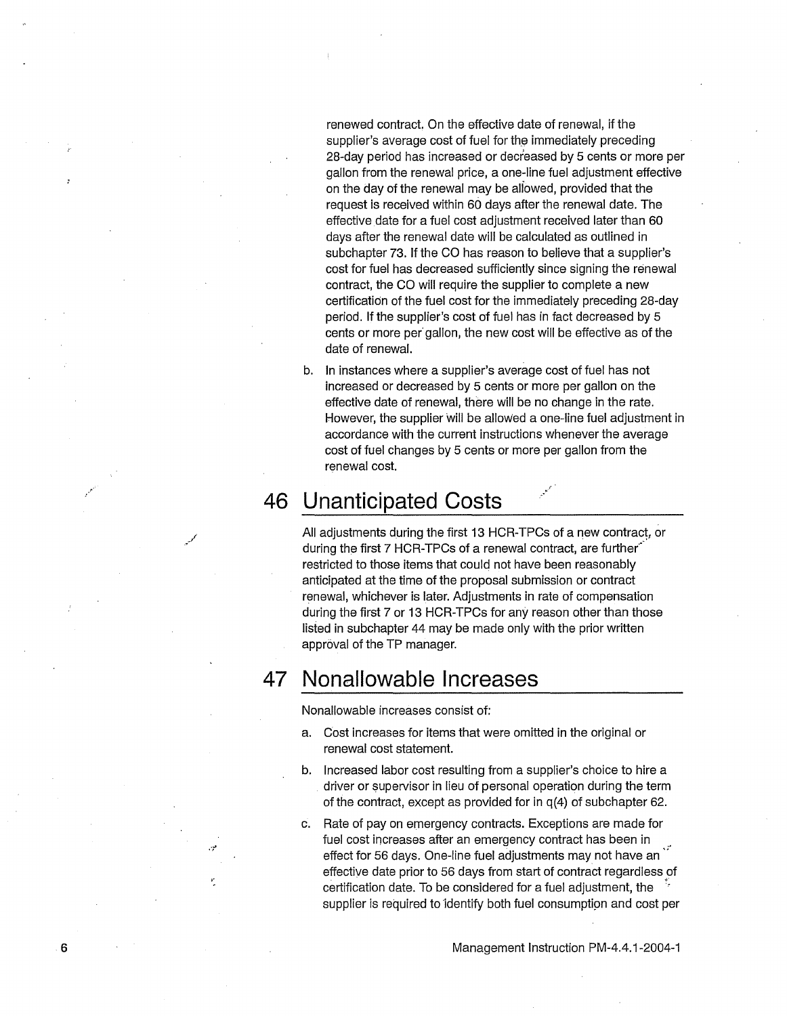renewed contract. On the effective date of renewal, if the supplier's average cost of fuel for the immediately preceding 28-day period has increased or decreased by 5 cents or more per gallon from the renewal price, a one-line fuel adjustment effective on the day of the renewal may be allowed, provided that the request is received within 60 days after the renewal date. The effective date for a fuel cost adjustment received later than 60 days after the renewal date will be calculated as outlined in subchapter 73. If the CO has reason to believe that a supplier's cost for fuel has decreased sufficiently since signing the renewal contract, the CO will require the supplier to complete a new certificatidn of the fuel cost for the immediately preceding 28-day period. If the supplier's cost of fuel has in fact decreased by 5 cents or more per gallon, the new cost will be effective as of the date of renewal.

b. In instances where a supplier's average cost of fuel has not increased or decreased by 5 cents or more per gallon on the effective date of renewal, there will be no change in the rate. However, the supplier will be allowed a one-line fuel adjustment in accordance with the current instructions whenever the average cost of fuel changes by 5 cents or more per gallon from the renewal cost.

.'.

### **46 Unanticipated Costs** .•

*... /* 

All adjustments during the first 13 HCR-TPCs of a new contract, or during the first 7 HCR-TPCs of a renewal contract, are further restricted to those items that could not have been reasonably anticipated at the time of the proposal submission or contract renewal, whichever is later. Adjustments in rate of compensation during the first 7 or 13 HCR-TPCs for any reason other than those listed in subchapter 44 may be made only with the prior written approval of the TP manager.

#### **47 Nonallowable Increases**

Nonallowable increases consist of:

- a. Cost increases for items that were omitted in the original or renewal cost statement.
- b. Increased labor cost resulting from a supplier's choice to hire a driver or supervisor in lieu of personal operation during the term of the contract, except as provided for in q(4) of subchapter 62.
- c. Rate of pay on emergency contracts. Exceptions are made for fuel cost increases after an emergency contract has been in effect for 56 days. One-line fuel adjustments may not have an effective date prior to 56 days from start of contract regardless of certification date. To be considered for a fuel adjustment, the supplier is required to identify both fuel consumption and cost per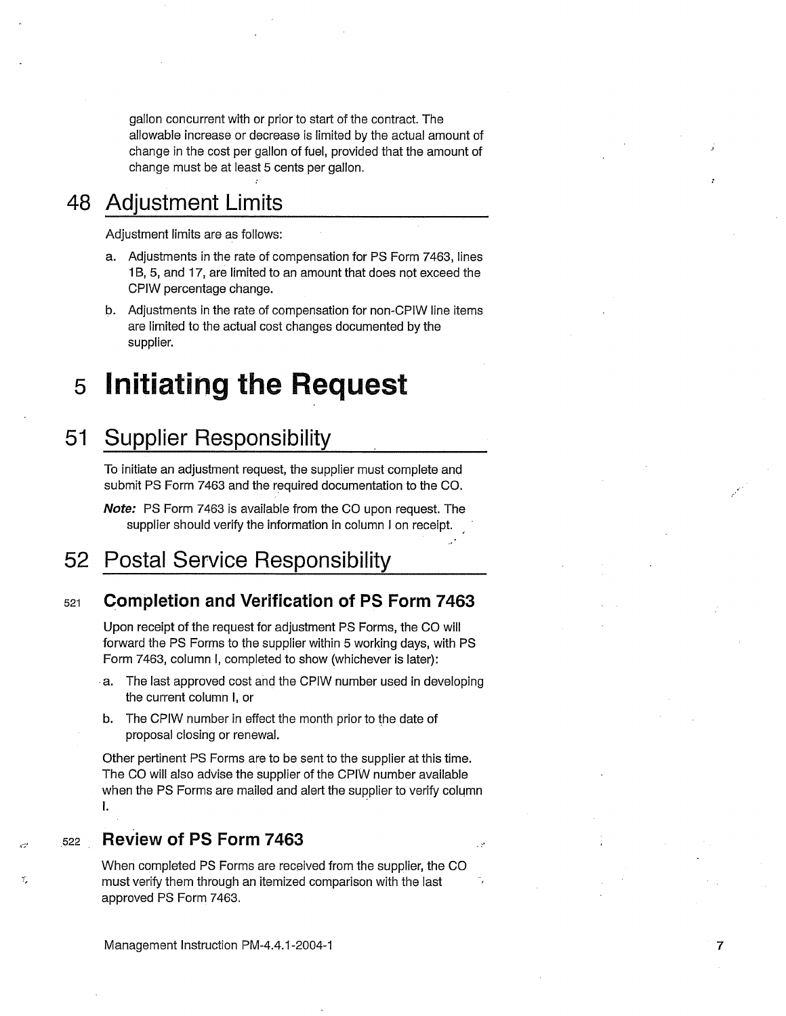gallon concurrent with or prior to start of the contract. The allowable increase or decrease is limited by the actual amount of change in the cost per gallon of fuel, provided that the amount of change must be at least 5 cents per gallon.

### **48 Adjustment Limits**

Adjustment limits are as follows:

- a. Adjustments in the rate of compensation for PS Form 7463, lines 1 B, 5, and 17, are limited to an amount that does not exceed the CPIW percentage change.
- b. Adjustments in the rate of compensation for non-CPIW line items are limited to the actual cost changes documented by the supplier.

#### **5 Initiating the Request**

#### **51 Supplier Responsibility**

To initiate an adjustment request, the supplier must complete and submit PS Form 7463 and the required documentation to the CO.

**Note:** PS Form 7463 is available from the CO upon request. The supplier should verify the information in column I on receipt.

#### **52 Postal Service Responsibility**

#### 521 **Completion and Verification of PS Form 7463**

Upon receipt of the request for adjustment PS Forms, the CO will forward the PS Forms to the supplier within 5 working days, with PS Form 7463, column I, completed to show (whichever is later):

- .a. The last approved cost and the CPIW number used in developing the current column I, or
- b. The CPIW number in effect the month prior to the date of proposal closing or renewal.

Other pertinent PS Forms are to be sent to the supplier at this time. The CO will also advise the supplier of the CPIW number available when the PS Forms are mailed and alert the supplier to verify column I.

- 2

 $,$ , 522 **Review of PS Form 7463** 

, . . ,

When completed PS Forms are received from the supplier, the CO must verify them through an itemized comparison with the last approved PS Form 7463.

Management Instruction PM-4.4.1-2004-1 7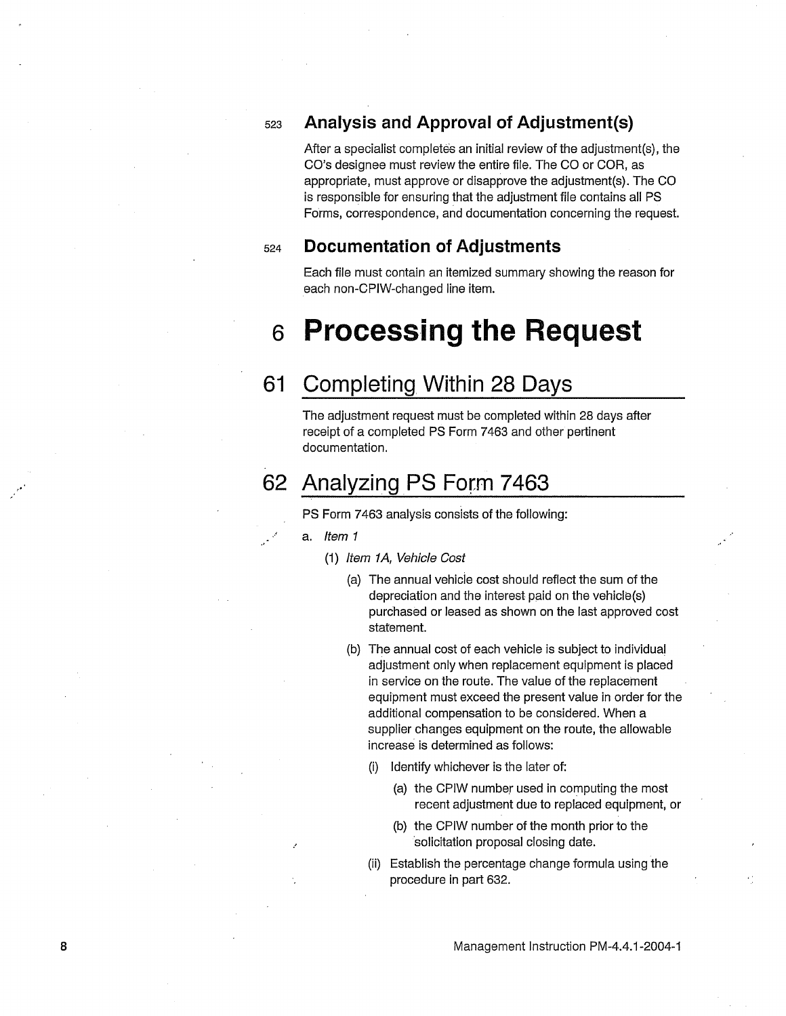### <sup>523</sup>**Analysis and Approval of Adjustment(s)**

After a specialist completes an initial review of the adjustment(s), the CO's designee must review the entire file. The CO or COR, as appropriate, must approve or disapprove the adjustment(s). The CO is responsible for ensuring that the adjustment file contains all PS Forms, correspondence, and documentation concerning the request.

#### <sup>524</sup>**Documentation of Adjustments**

Each file must contain an itemized summary showing the reason for each non-CPIW-changed line item.

### **6 Processing the Request**

### **61 Completing Within 28 Days**

The adjustment request must be completed within 28 days after receipt of a completed PS Form 7463 and other pertinent documentation.

### **62 Analyzing.PS Form 7463**

PS Form 7463 analysis consists of the following:

- ,... **a. Item 1** 
	- (1) Item 1A, Vehicle Cost
		- (a) The annual vehicie cost should reflect the sum of the depreciation and the interest paid on the vehicle(s) purchased or leased as shown on the last approved cost statement.
		- (b) The annual cost of each vehicle is subject to individual adjustment only when replacement equipment is placed in service on the route. The value of the replacement equipment must exceed the present value in order for the additional compensation to be considered. When a supplier changes equipment on the route, the allowable increase is determined as follows:
			- (i) Identify whichever is the later of:
				- (a) the CPIW number used in computing the most recent adjustment due to replaced equipment, or
				- (b) the CPIW number of the month prior to the ·solicitation proposal closing date.
			- (ii) Establish the percentage change formula using the procedure in part 632.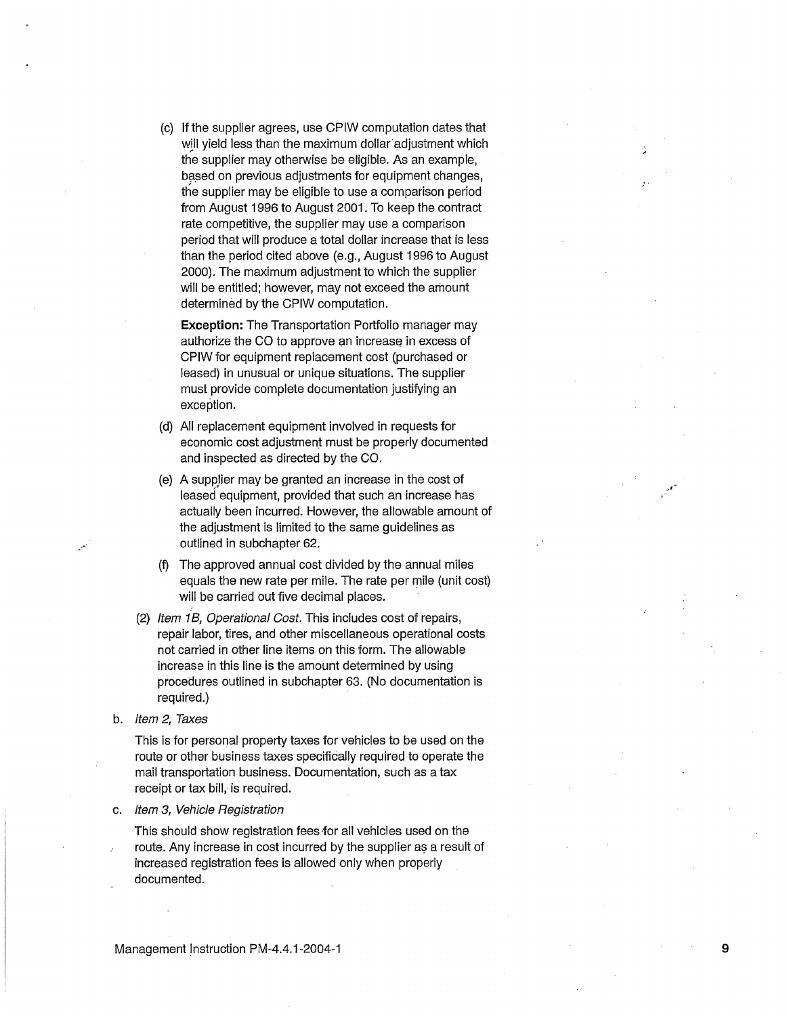(c) If the supplier agrees, use CPIW computation dates that will yield less than the maximum dollar adjustment which the supplier may otherwise be eligible. As an example, based on previous adjustments for equipment changes, the supplier may be eligible to use a comparison period from August 1996 to August 2001. To keep the contract rate competitive, the supplier may use a comparison period that will produce a total dollar increase that is less than the period cited above (e.g., August 1996 to August 2000). The maximum adjustment to which the supplier will be entitled; however, may not exceed the amount determined by the CPIW computation.

**Exception:** The Transportation Portfolio manager may authorize the CO to approve an increase in excess of CPIW for equipment replacement cost (purchased or leased) in unusual or unique situations. The supplier must provide complete documentation justifying an exception.

- (d) All replacement equipment involved in requests for economic cost adjustment must be properly documented and inspected as directed by the CO.
- (e) A supplier may be granted an increase in the cost of leased equipment, provided that such an increase has actually been incurred. However, the allowable amount of the adjustment is limited to the same guidelines as outlined in subchapter 62.
- (f) The approved annual cost divided by the annual miles equals the new rate per mile. The rate per mile (unit cost) will be carried out five decimal places.
- (2) Item 1B, Operational Cost. This includes cost of repairs, repair labor, tires, and other miscellaneous operational costs not carried in other line items on this form. The allowable increase in this line is the amount determined by using procedures outlined in subchapter 63. (No documentation is required.)
- b. Item 2, Taxes

. -

This is for personal property taxes for vehicles to be used on the route or other business taxes specifically required to operate the mail transportation business. Documentation, such as a tax receipt or tax bill, is required.

c. Item 3, Vehicle Registration

This should show registration fees-for all vehicles used on the route. Any increase in cost incurred by the supplier as a result of increased registration fees is allowed only when properly documented.

9

·'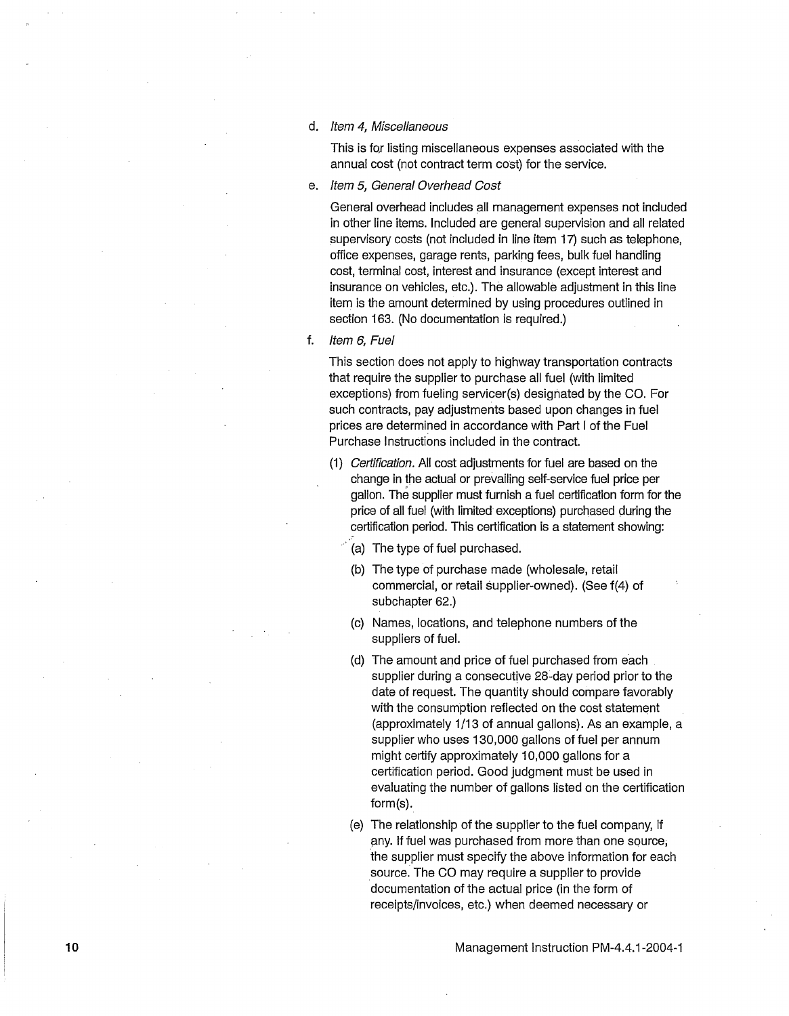d. Item 4, Miscellaneous

This is for listing miscellaneous expenses associated with the annual cost (not contract term cost) for the service.

e. Item 5, General Overhead Cost

General overhead includes all management expenses not included in other line items. Included are general supervision and all related supervisory costs (not included in line item 17) such as telephone. office expenses, garage rents, parking fees, bulk fuel handling cost, terminal cost, interest and insurance (except interest and insurance on vehicles, etc.). The allowable adjustment in this line item is the amount determined by using procedures outlined in section 163. (No documentation is required.)

f. Item 6, Fuel

This section does not apply to highway transportation contracts that require the supplier to purchase all fuel (with limited exceptions) from fueling servicer(s) designated by the CO. For such contracts, pay adjustments based upon changes in fuel prices are determined in accordance with Part I of the Fuel Purchase Instructions included in the contract.

- (1) Certification. All cost adjustments for fuel are based on the change in the actual or prevailing self-service fuel price per gallon. The supplier must furnish a fuel certification form for the price of all fuel (with limited exceptions) purchased during the certification period. This certification is a statement showing:
	- (a) The type of fuel purchased.
	- (b) The type of purchase made (wholesale, retail commercial, or retail supplier-owned). (See f(4) of subchapter 62.)
	- (c) Names, locations, and telephone numbers of the suppliers of fuel.
	- (d) The amount and price of fuel purchased from each supplier during a consecutive 28~day period prior to the date of request. The quantity should compare favorably with the consumption reflected on the cost statement (approximately 1/13 of annual gallons). As an example, a supplier who uses 130,000 gallons of fuel per annum might certify approximately 10,000 gallons for a certification period. Good judgment must be used in evaluating the number of gallons listed on the certification form(s).
	- (e) The relationship of the supplier to the fuel company, if any. If fuel was purchased from more than one source; the supplier must specify the above information for each source. The CO may require a supplier to provide documentation of the actual price (in the form of receipts/invoices, etc.) when deemed necessary or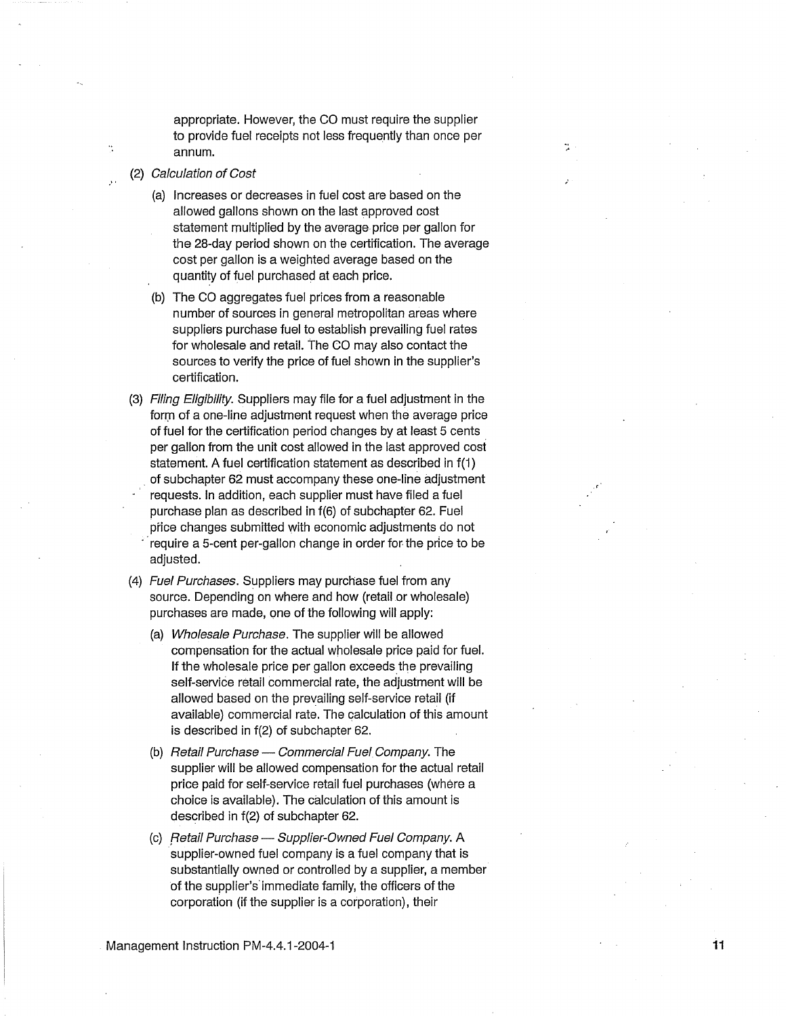appropriate. However, the CO must require the supplier to provide fuel receipts not less frequently than once per annum.

- (2) Calculation of Cost
	- (a) Increases or decreases in fuel cost are based on the allowed gallons shown on the last approved cost statement multiplied by the average price per gallon for the 28-day period shown on the certification. The average cost per gallon is a weighted average based on the quantity of fuel purchased at each price.
	- (b) The CO aggregates fuel prices from a reasonable number of sources in general metropolitan areas where suppliers purchase fuel to establish prevailing fuel rates for wholesale and retail. The CO may also contact the sources to verify the price of fuel shown in the supplier's certification.
- (3) Filing Eligibility. Suppliers may file for a fuel adjustment in the form of a one-line adjustment request when the average price of fuel for the certification period changes by at least 5 cents . per gallon from the unit cost allowed in the last approved cost statement. A fuel certification statement as described in f(1) . of subchapter 62 must accompany these one-line adjustment requests. In addition, each supplier must have filed a fuel purchase plan as described in f(6) of subchapter 62. Fuel price changes submitted with economic adjustments do not require a 5-cent per-gallon change in order for the price to be adjusted.
- (4) Fuel Purchases. Suppliers may purchase fuel from any source. Depending on where and how (retail or wholesale) purchases are made, one of the following will apply:
	- (a) Wholesale Purchase. The supplier will be allowed compensation for the actual wholesale price paid for fuel. If the wholesale price per gallon exceeds the prevailing self-service retail commercial rate, the adjustment will be allowed based on the prevailing self-service retail (if available) commercial rate. The calculation of this amount is described in f(2) of subchapter 62.
	- (b) Retail Purchase  $-$  Commercial Fuel Company. The supplier will be allowed compensation for the actual retail price paid for self-service retail fuel purchases (where a choice is available). The calculation of this amount is described in f(2) of subchapter 62.
	- (c) Retail Purchase Supplier-Owned Fuel Company. A supplier-owned fuel company is a fuel company that is substantially owned or controlled by a supplier, a member of the supplier's· immediate family, the officers of the corporation (if the supplier is a corporation), their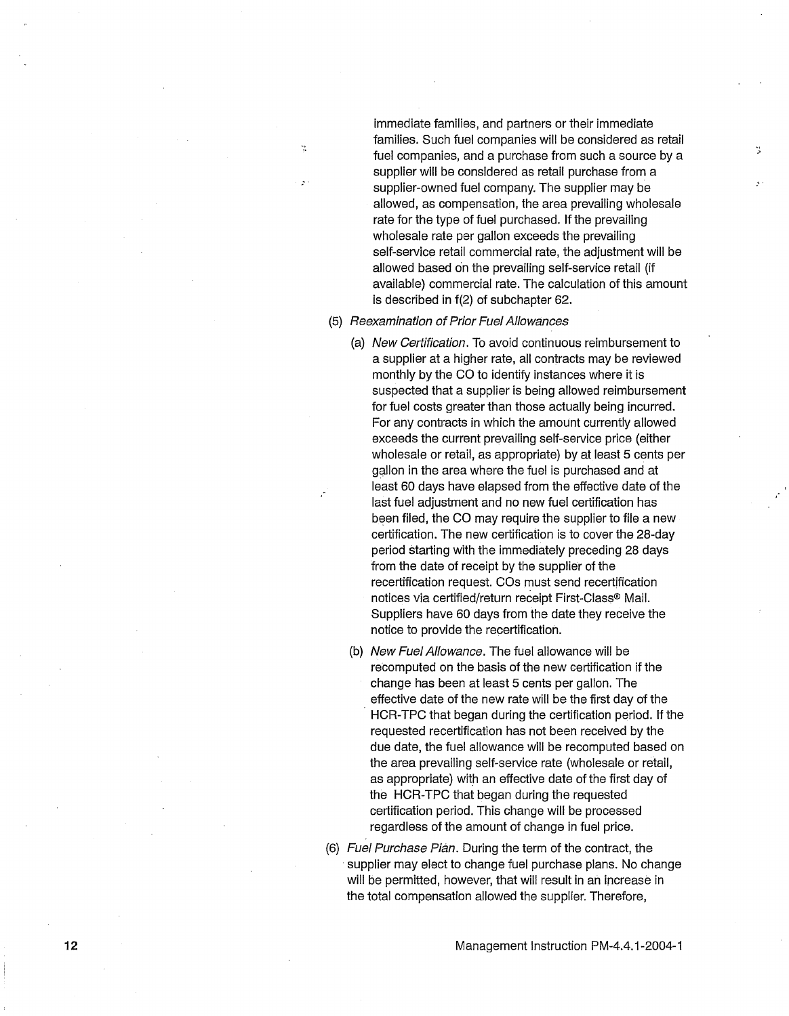immediate families, and partners or their immediate families. Such fuel companies will be considered as retail " fuel companies, and a purchase from such a source by a ,. supplier will be considered as retail purchase from a supplier-owned fuel company. The supplier may be allowed, as compensation, the area prevailing wholesale rate for the type of fuel purchased. If the prevailing wholesale rate per gallon exceeds the prevailing self-service retail commercial rate, the adjustment will be allowed based on the prevailing self-service retail (if available) commercial rate. The calculation of this amount is described in f(2) of subchapter 62.

#### (5) Reexamination of Prior Fuel Allowances

- (a) New Certification. To avoid continuous reimbursement to a supplier at a higher rate, all contracts may be reviewed monthly by the CO to identify instances where it is suspected that a supplier is being allowed reimbursement for fuel costs greater than those actually being incurred. For any contracts in which the amount currently allowed exceeds the current prevailing self-service price (either wholesale or retail, as appropriate) by at least 5 cents per gallon in the area where the fuel is purchased and at least 60 days have elapsed from the effective date of the last fuel adjustment and no new fuel certification has been filed, the CO may require the supplier to file a new certification. The new certification is to cover the 28-day period starting with the immediately preceding 28 days from the date of receipt by the supplier of the recertification request. COs must send recertification notices via certified/return receipt First-Class® Mail. Suppliers have 60 days from the date they receive the notice to provide the recertification.
- (b) New Fuel Allowance. The fuel allowance will be recomputed on the basis of the new certification if the change has been at least 5 cents per gallon. The effective date of the new rate will be the first day of the HCR-TPC that began during the certification period. If the requested recertification has not been received by the due date, the fuel allowance will be recomputed based on the area prevailing self-service rate (wholesale or retail, as appropriate) with an effective date of the first day of the HCR-TPC that began during the requested certification period. This change will be processed regardless of the amount of change in fuel price.
- (6) Fuel Purchase Plan. During the term of the contract, the supplier may elect to change fuel purchase plans. No change will be permitted, however, that will result in an increase in the total compensation allowed the supplier. Therefore,

12 Management Instruction PM-4.4. 1-2004-I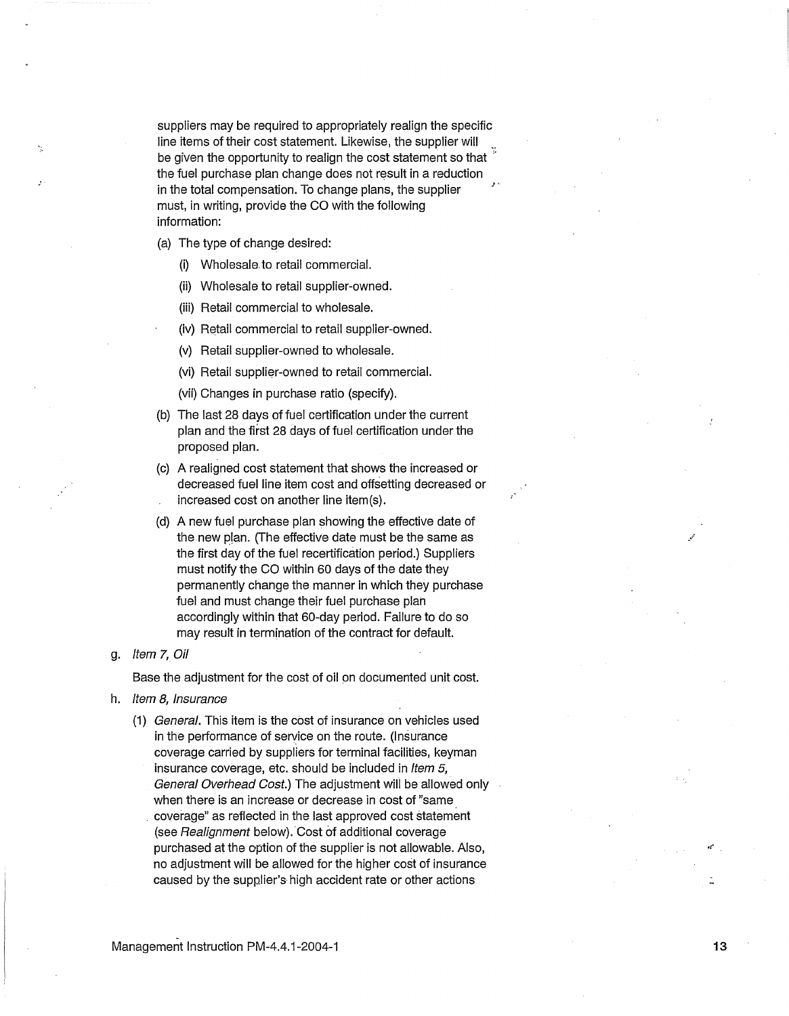suppliers may be required to appropriately realign the specific line items of their cost statement. Likewise, the supplier will be given the opportunity to realign the cost statement so that  $\overline{a}$ the fuel purchase plan change does not result in a reduction in the total compensation. To change plans, the supplier must, in writing, provide the CO with the following information:

(a) The type of change desired:

- (i) Wholesale to retail commercial.
- (ii) Wholesale to retail supplier-owned.
- (iii) Retail commercial to wholesale.
- (iv) Retail commercial to retail supplier-owned.
- (v) Retail supplier-owned to wholesale.
- (vi) Retail supplier-owned to retail commercial.
- (vii) Changes in purchase ratio (specify).
- (b) The last 28 days of fuel certification under the current plan and the first 28 days of fuel certification under the proposed plan.
- (c) A realigned cost statement that shows the increased or decreased fuel line item cost and offsetting decreased or increased cost on another line item(s).
- (d) A new fuel purchase plan showing the effective date of the new plan. (The effective date must be the same as the first day of the fuel recertification period.) Suppliers must notify the CO within 60 days of the date they permanently change the manner in which they purchase fuel and must change their fuel purchase plah accordingly within that 60-day period. Failure to do so may result in termination of the contract for default.

#### g. Item 7, Oil

Base the adjustment for the cost of oil on documented unit cost.

- h. Item 8, Insurance
	- (1) General. This item is the cost of insurance on vehicles used in the performance of service on the route. (Insurance coverage carried by suppliers for terminal facilities, keyman insurance coverage, etc. should be included in Item 5, General Overhead Cost.) The adjustment will be allowed only when there is an increase or decrease in cost of "same . coverage" as reflected in the last approved cost statement (see Realignment below). Cost of additional coverage purchased at the option of the supplier is not allowable. Also, no adjustment will be allowed for the higher cost of insurance caused by the supplier's high accident rate or other actions

 $\mathbf{r}$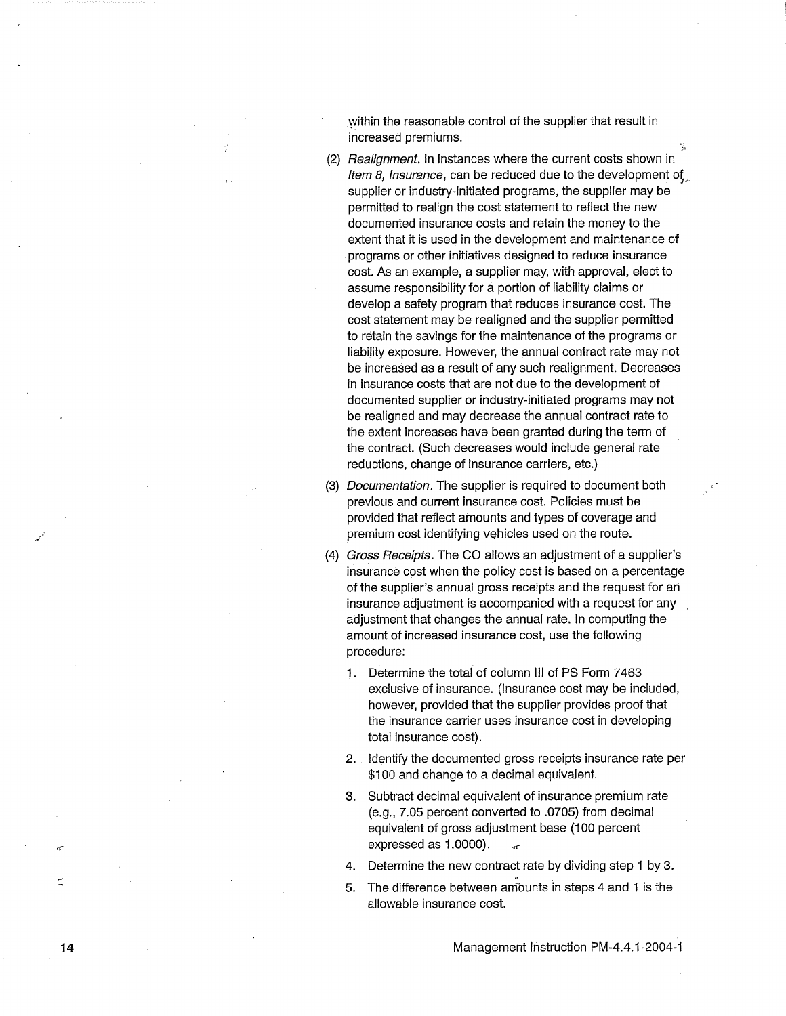within the reasonable control of the supplier that result in increased premiums.  $\ddot{\hspace{1cm}}$ 

- (2) Realignment. In instances where the current costs shown in Item 8, Insurance, can be reduced due to the development of supplier or industry-initiated programs, the supplier may be permitted to realign the cost statement to reflect the new documented insurance costs and retain the money to the extent that it is used in the development and maintenance of . programs or other initiatives designed to reduce insurance cost. As an example, a supplier may, with approval, elect to assume responsibility for a portion of liability claims or develop a safety program that reduces insurance cost. The cost statement may be realigned and the supplier permitted to retain the savings for the maintenance of the programs or liability exposure. However, the annual contract rate may not be increased as a result of any such realignment. Decreases in insurance costs that are not due to the development of documented supplier or industry-initiated programs may not be realigned and may decrease the annual contract rate to the extent increases have been granted during the term of the contract. (Such decreases would include general rate reductions, change of insurance carriers, etc.)
- (3) Documentation. The supplier is required to document both previous and current insurance cost. Policies must be provided that reflect amounts and types of coverage and premium cost identifying vehicles used on the route.
- (4) Gross Receipts. The CO allows an adjustment of a supplier's insurance cost when the policy cost is based on a percentage of the supplier's annual gross receipts and the request for ah insurance adjustment is accompanied with a request for any adjustment that changes the annual rate. In computing the amount of increased insurance cost, use the following procedure:
	- 1. Determine the total of column Ill of PS Form 7463 exclusive of insurance. (Insurance cost may be included, however, provided that the supplier provides proof that the insurance carrier uses insurance cost in developing total insurance cost).
	- 2. Identify the documented gross receipts insurance rate per \$100 and change to a decimal equivalent.
	- 3. Subtract decimal equivalent of insurance premium rate (e.g., 7.05 percent converted to .0705) from decimal equivalent of gross adjustment base (100 percent expressed as 1.0000).
	- 4. Determine the new contract rate by dividing step 1 by 3.
	- 5. The difference between amounts in steps 4 and 1 is the allowable insurance cost.

14

 $\sigma$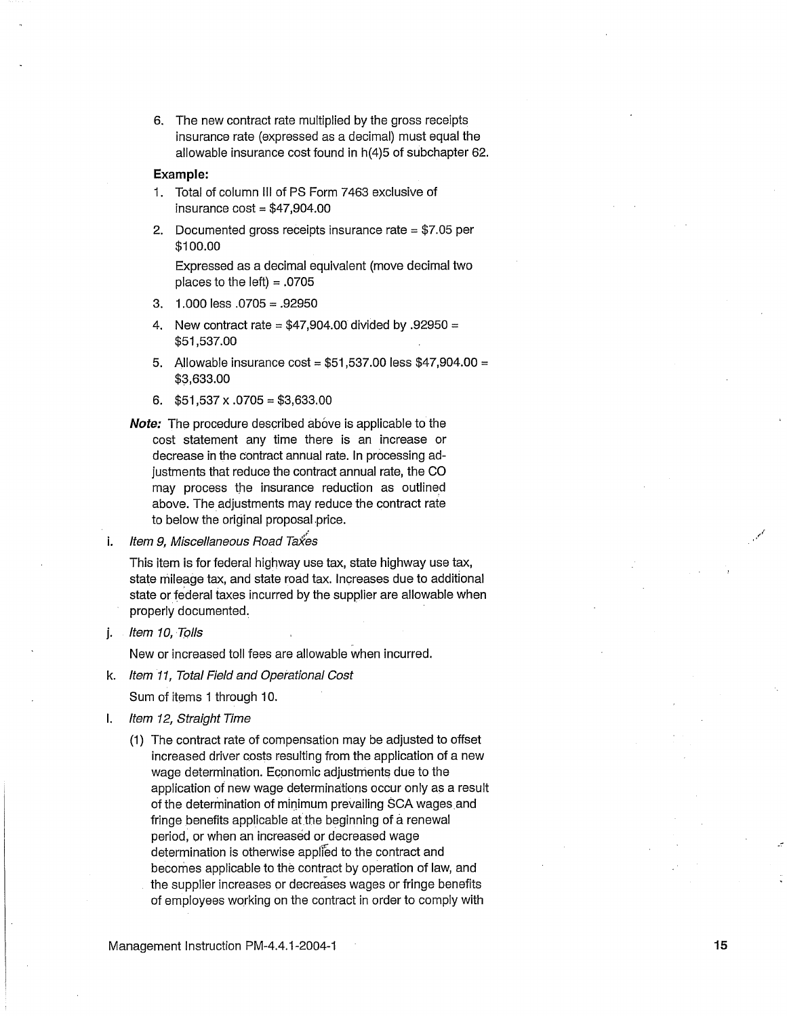6. The new contract rate multiplied by the gross receipts insurance rate (expressed as a decimal) must equal the allowable insurance cost found in h(4)5 of subchapter 62.

#### **Example:**

- 1. Total of column Ill of PS Form 7463 exclusive of insurance  $cost = $47,904.00$
- 2. Documented gross receipts insurance rate = \$7.05 per \$100.00

Expressed as a decimal equivalent (move decimal two places to the left)  $= .0705$ 

- 3. 1.000 less .0705 = .92950
- 4. New contract rate =  $$47,904.00$  divided by .92950 = \$51,537.00
- 5. Allowable insurance cost =  $$51,537.00$  less  $$47,904.00 =$ \$3,633.00
- 6.  $$51,537 \times .0705 = $3,633.00$
- **Note:** The procedure described above is applicable to the cost statement any time there is an increase or decrease in the contract annual rate. In processing adjustments that reduce the contract annual rate, the CO may process the insurance reduction as outlined above. The adjustments may reduce the contract rate to below the original proposal price.

i. Item 9, Miscellaneous Road Taxes

This item is for federal highway use tax, state highway use tax, state mileage tax, and state road tax. Increases due to additional state or federal taxes incurred by the supplier are allowable when properly documented.

j. Item 10, Tolls

New or increased toll fees are allowable when incurred.

k. Item 11, Total Field and Operational Cost

Sum of items 1 through 10.

- I. Item 12, Straight Time
	- (1) The contract rate of compensation may be adjusted to offset increased driver costs resulting from the application of a new wage determination. Economic adjustments due to the application of new wage determinations occur only as a result of the determination of minimum prevailing SCA wages and fringe benefits applicable at the beginning of a renewal period, or when an increased or decreased wage determination is otherwise applied to the contract and becomes applicable to the contract by operation of law, and the supplier increases or decreases wages or fringe benefits of employees working on the contract in order to comply with

Management Instruction PM-4.4.1-2004-1 15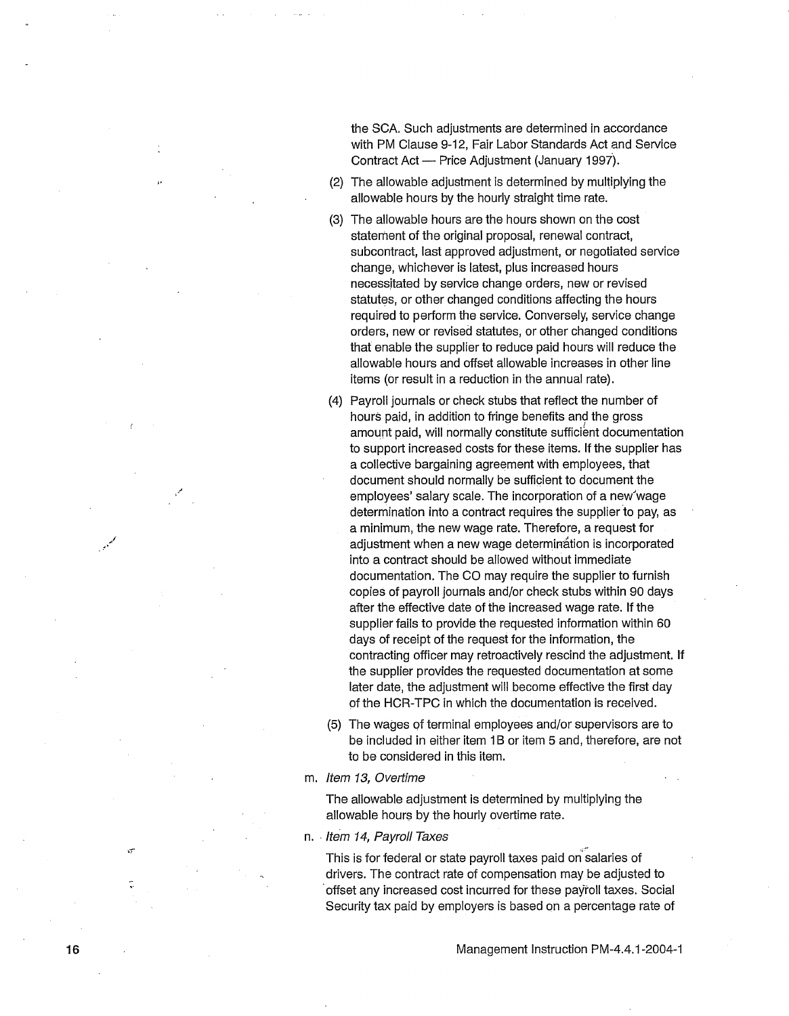the SCA. Such adjustments are determined in accordance with PM Clause 9-12, Fair Labor Standards Act and Service Contract Act - Price Adjustment (January 1997).

- (2) The allowable adjustment is determined by multiplying the allowable hours by the hourly straight time rate.
- (3) The allowable hours are the hours shown on the cost statement of the original proposal, renewal contract, subcontract, last approved adjustment, or negotiated service change, whichever is latest, plus increased hours necessitated by service change orders, new or revised statutes, or other changed conditions affecting the hours required to perform the service. Conversely, service change orders, new or revised statutes, or other changed conditions that enable the supplier to reduce paid hours will reduce the allowable hours and offset allowable increases in other line items (or result in a reduction in the annual rate).
- (4) Payroll journals or check stubs that reflect the number of hours paid, in addition to fringe benefits and the gross amount paid, will normally constitute sufficient documentation to support increased costs for these items. If the supplier has a collective bargaining agreement with employees, that document should normally be sufficient to document the employees' salary scale. The incorporation of a new'wage determination into a contract requires the supplier to pay, as a minimum, the new wage rate. Therefore, a request for adjustment when a new wage determination is incorporated into a contract should be allowed without immediate documentation. The CO may require the supplier to furnish copies of payroll journals and/or check stubs within 90 days after the effective date of the increased wage rate. If the supplier fails to provide the requested information within 60 days of receipt of the request for the information, the contracting officer may retroactively rescind the adjustment. If the supplier provides the requested documentation at some later date, the adjustment will become effective the first day of the HCR-TPC in which the documentation is received.
- (5) The wages of terminal employees and/or supervisors are to be included in either item 1B or item 5 and, therefore, are not to be considered in this item.
- m. Item 13, Overtime

The allowable adjustment is determined by multiplying the allowable hours by the hourly overtime rate.

n. Item 14, Payroll Taxes

This is for federal or state payroll taxes paid on salaries of drivers. The contract rate of compensation may be adjusted to ·offset any increased cost incurred for these payroll taxes. Social Security tax paid by employers is based on a percentage rate of

à.

\_,

 $\mathscr{N}$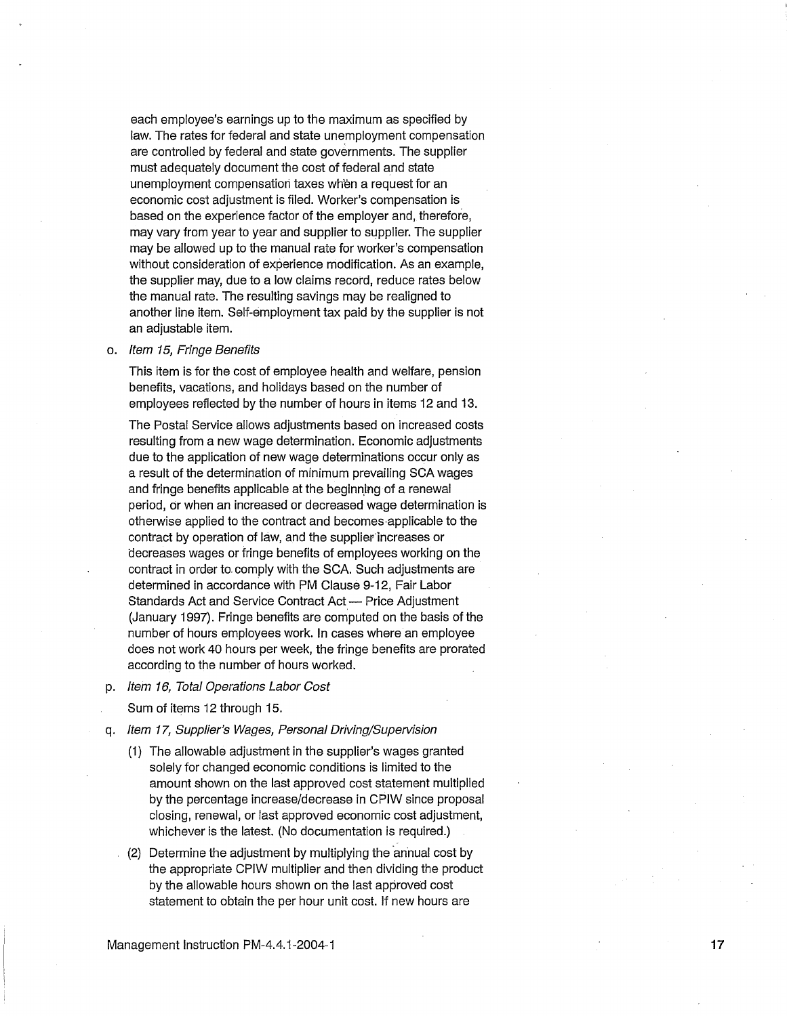each employee's earnings up to the maximum as specified by law. The rates for federal and state unemployment compensation are controlled by federal and state governments. The supplier must adequately document the cost of federal and state unemployment compensation taxes wh'en a request for an economic cost adjustment is filed. Worker's compensation is based on the experience factor of the employer and, therefore, may vary from year to year and supplier to supplier. The supplier may be allowed up to the manual rate for worker's compensation without consideration of experience modification. As an example, the supplier may, due to a low claims record, reduce rates below the manual rate. The resulting savings may be realigned to another line item. Self-employment tax paid by the supplier is not an adjustable item.

#### o. Item 15, Fringe Benefits

This item is for the cost of employee health and welfare, pension benefits, vacations, and holidays based on the number of employees reflected by the number of hours in items 12 and 13.

The Postal Service allows adjustments based on increased costs resulting from a new wage determination. Economic adjustments due to the application of new wage determinations occur only as a result of the determination of minimum prevailing SCA wages and fringe benefits applicable at the beginning of a renewal period, or when an increased or decreased wage determination is otherwise applied to the contract and becomes·applicable to the contract by operation of law, and the supplier increases or decreases wages or fringe benefits of employees working on the contract in order to. comply with the SCA. Such adjustments are determined in accordance with PM Clause 9-12, Fair Labor Standards Act and Service Contract Act - Price Adjustment (January 1997). Fringe benefits are computed on the basis of the number of hours employees work. In cases where an employee does not work 40 hours per week, the fringe benefits are prorated according to the number of hours worked.

p. Item 16, Total Operations Labor Cost

Sum of items 12 through 15.

- q. Item 17, Supplier's Wages, Personal Driving/Supervision
	- (1) The allowable adjustment in the supplier's wages granted solely for changed economic conditions is limited to the amount shown on the last approved cost statement multiplied by the percentage increase/decrease in CPIW since proposal closing, renewal, or last approved economic cost adjustment, whichever is the latest. (No documentation is required.)
	- (2) Determine the adjustment by multiplying the annual cost by the appropriate CPIW multiplier and then dividing the product by the allowable hours shown on the last approved cost statement to obtain the per hour unit cost. If new hours are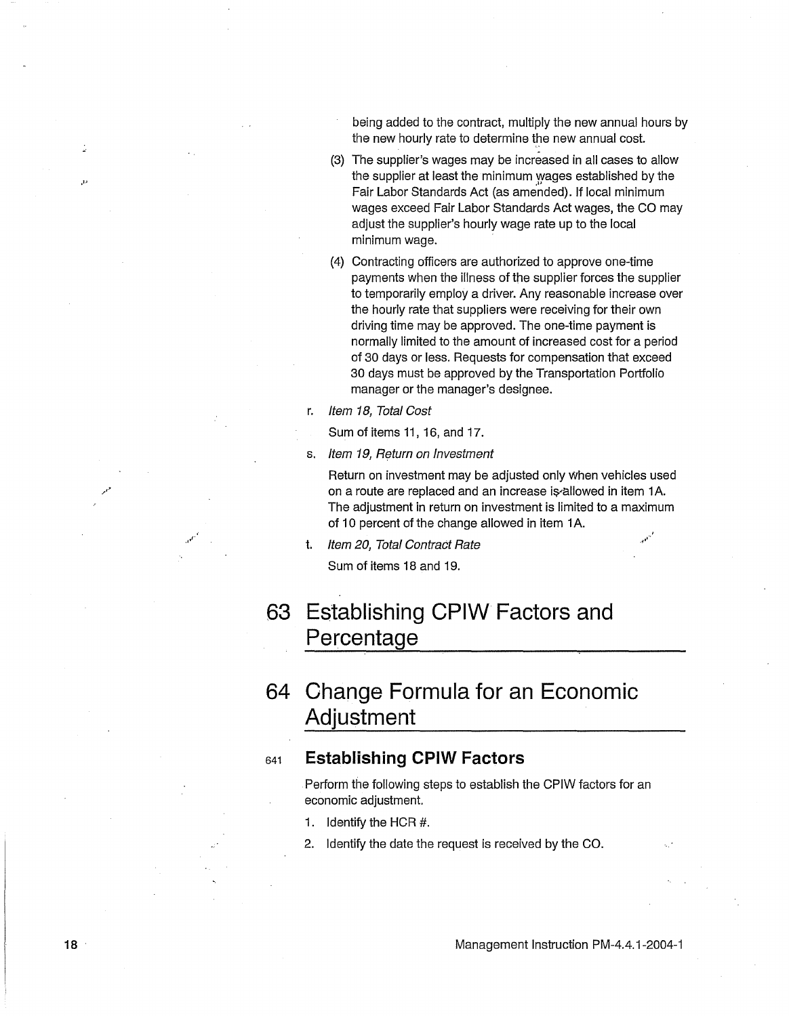being added to the contract, multiply the new annual hours by the new hourly rate to determine the new annual cost.

- (3) The supplier's wages may be increased in all cases to allow the supplier at least the minimum wages established by the Fair Labor Standards Act (as amended). If local minimum wages exceed Fair Labor Standards Act wages, the CO may adjust the supplier's hourly wage rate up to the local minimum wage.
- (4) Contracting officers are authorized to approve one-time payments when the illness of the supplier forces the supplier to temporarily employ a driver. Any reasonable increase over the hourly rate that suppliers were receiving for their own driving time may be approved. The one-time payment is normally limited to the amount of increased cost for a period of 30 days or less. Requests for compensation that exceed 30 days must be approved by the Transportation Portfolio manager or the manager's designee.
- r. Item 18, Total Cost
	- Sum of items 11, 16, and 17.
- s. Item 19, Return on Investment

Return on investment may be adjusted only When vehicles used on a route are replaced and an increase is allowed in item 1A. The adjustment in return on investment is limited to a maximum of 10 percent of the change allowed in item 1A.

t. Item 20, Total Contract Rate

Sum of items 18 and 19.

### **63 Establishing CPIW Factors and Percentage**

### **64 Change Formula for an Economic Adjustment**

#### s41 **Establishing CPIW Factors**

Perform the following steps to establish the CPIW factors for an economic adjustment.

- 1. Identify the HCR #.
- 2. Identify the date the request is received by the CO.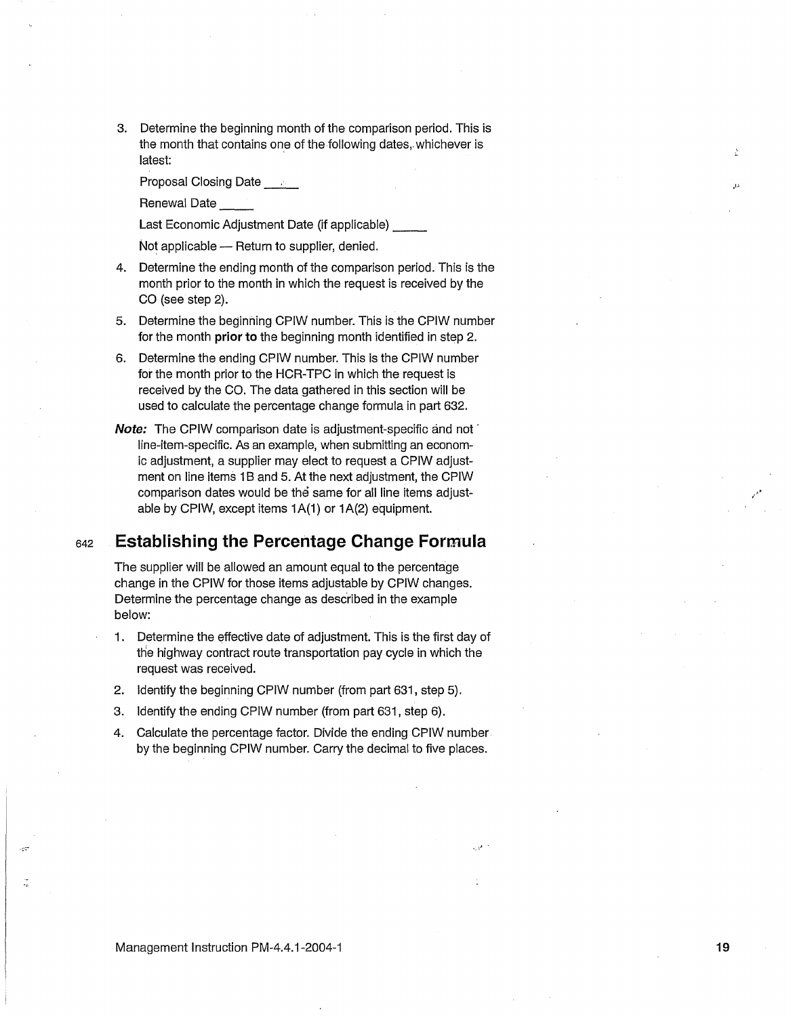3. Determine the beginning month of the comparison period. This is the month that contains one of the following dates, whichever is latest:

Proposal Closing Date \_\_\_\_

Renewal Date

Last Economic Adjustment Date (if applicable) \_\_

Not applicable - Return to supplier, denied.

- 4. Determine the ending month of the comparison period. This is the month prior to the month in which the request is received by the CO (see step 2).
- 5. Determine the beginning CPIW number. This is the CPIW number for the month **prior to** the beginning month identified in step 2.
- 6. Determine the ending CPIW number. This is the CPIW number for the month prior to the HCR-TPC in which the request is received by the CO. The data gathered in this section will be used to calculate the percentage change formula in part 632.
- **Note:** The CPIW comparison date is adjustment-specific and not · line-item-specific. As an example, when submitting an economic adjustment, a supplier may elect to request a CPIW adjustment on line items 1B and 5. At the next adjustment, the CPIW comparison dates would be the same for all line items adjustable by CPIW, except items 1A(1) or 1A(2) equipment.

#### <sup>642</sup>**Establishing the Percentage Change Formula**

The supplier will be allowed an amount equal to the percentage change in the CPIW for those items adjustable by CPIW changes. Determine the percentage change as described in the example below:

- 1. Determine the effective date of adjustment. This is the first day of the highway contract route transportation pay cycle in which the request was received.
- 2. Identify the beginning CPIW number (from part 631, step 5).
- 3. Identify the ending CPIW number (from part 631, step 6).
- 4. Calculate the percentage factor. Divide the ending CPIW number by the beginning CPIW number. Carry the decimal to five places.

,.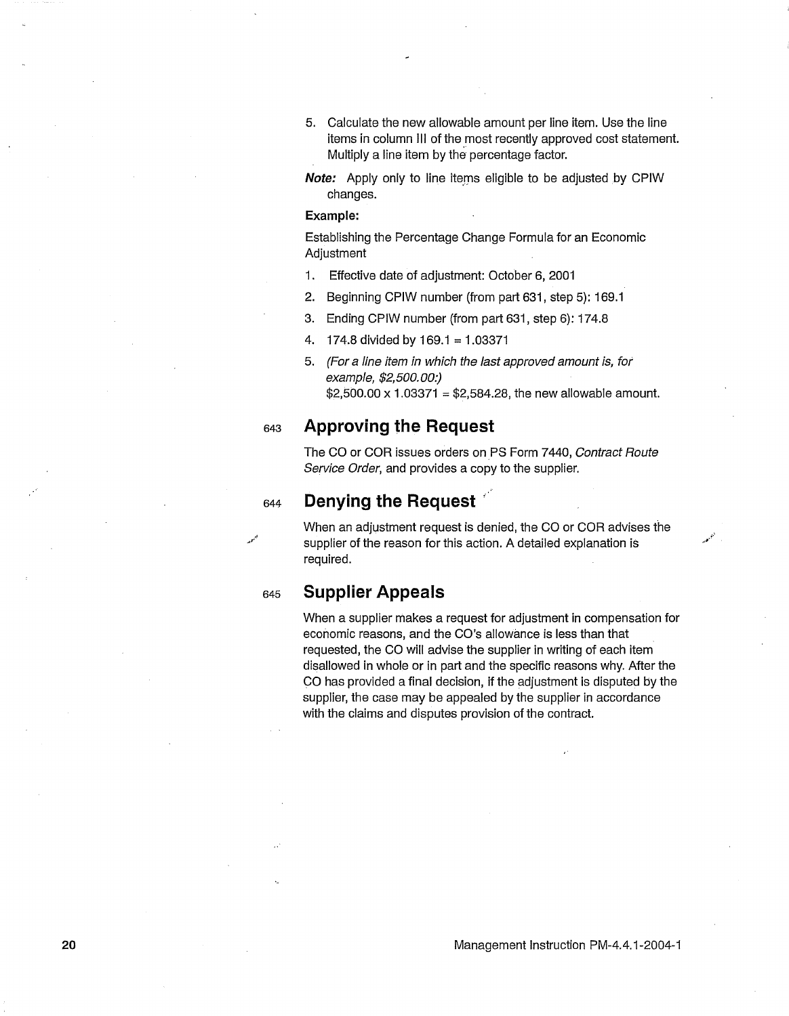- 5. Calculate the new allowable amount per line item. Use the line items in column 111 of the most recently approved cost statement. Multiply a line item by the percentage factor.
- **Note:** Apply only to line items eligible to be adjusted by CPIW changes.

#### **Example:**

Establishing the Percentage Change Formula for an Economic **Adjustment** 

- 1. Effective date of adjustment: October 6, 2001
- 2. Beginning CPIW number (from part 631, step 5): 169.1
- 3. Ending CPIW number (from part 631, step 6): 174.8
- 4. 17 4.8 divided by 169.1 = 1.03371
- 5. (For a line item in which the last approved amount is, for example, \$2,500.00:) \$2,500.00 x 1.03371 = \$2,584.28, the new allowable amount.

#### <sup>643</sup>**Approving the Request**

The CO or COR issues orders on PS Form 7440, Contract Route Service Order, and provides a copy to the supplier.

### <sup>644</sup>**Denying the Request** ··

When an adjustment request is denied, the CO or COR advises the supplier of the reason for this action. A detailed explanation is required.

### <sup>645</sup>**Supplier Appeals**

When a supplier makes a request for adjustment in compensation for economic reasons, and the CO's allowance is less than that requested, the CO will advise the supplier in writing of each item disallowed in whole or in part and the specific reasons why. After the CO has provided a final decision, if the adjustment is disputed by the supplier, the case may be appealed by the supplier in accordance with the claims and disputes provision of the contract.

•.. ,,·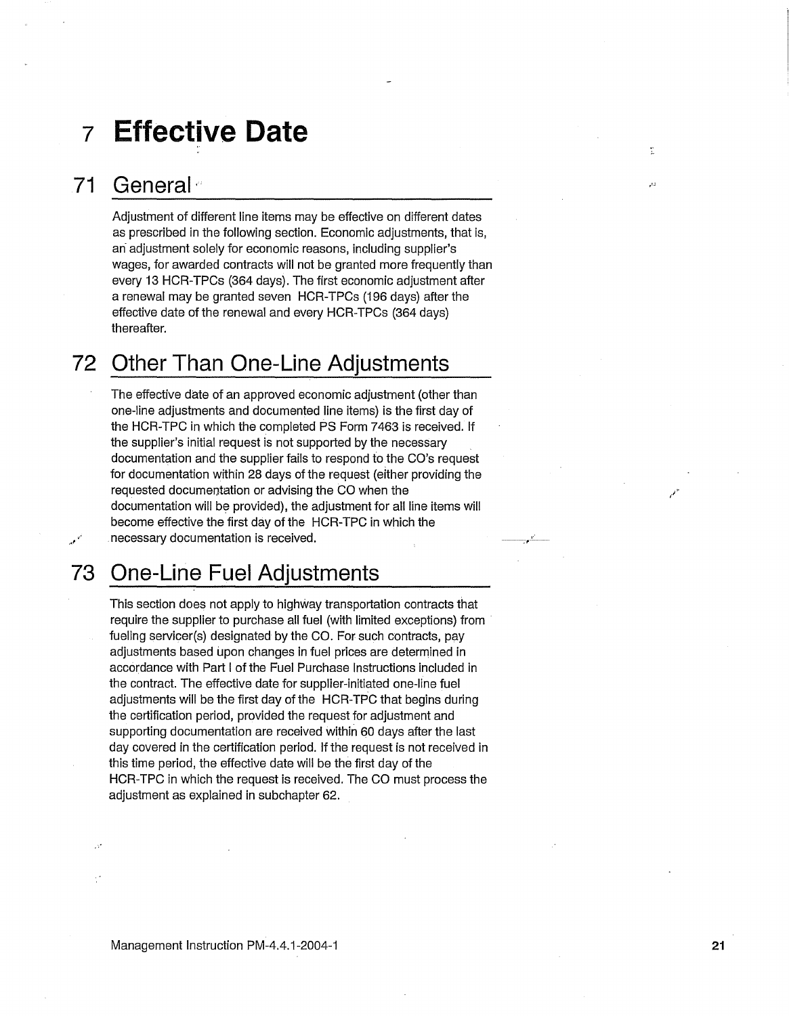## **1 Effective Date**

### **71 General·**

Adjustment of different line items may be effective on different dates as prescribed in the following section. Economic adjustments, that is, an adjustment solely for economic reasons, including supplier's wages, for awarded contracts will not be granted more frequently than every 13 HCR-TPCs (364 days). The first economic adjustment after a renewal may be granted seven HCR-TPCs (196 days) after the effective date of the renewal and every HCR-TPCs (364 days) thereafter.

### **72 Other Than One-Line Adjustments**

The effective date of an approved economic adjustment (other than one-line adjustments and documented line items) is the first day of the HCR-TPC in which the completed PS Form 7463 is received. If the supplier's initial request is not supported by the necessary documentation and the supplier fails to respond to the CO's request for documentation within 28 days of the request (either providing the requested documentation or advising the CO when the documentation will be provided), the adjustment for all line items will become effective the first day of the HCR-TPC in which the necessary documentation is received.

, .. --\_,-

¢

 $\overline{1}$ 

,-· \_.,

### **73 One-Line Fuel Adjustments**

This section does not apply to highway transportation contracts that require the supplier to purchase all fuel (with limited exceptions) from fueling servicer(s) designated by the CO. For such contracts, pay adjustments based upon changes in fuel prices are determined in accordance with Part I of the Fuel Purchase Instructions included in the contract. The effective date for supplier-initiated one-line fuel adjustments will be the first day of the HCR-TPC that begins during the certification period, provided the request for adjustment and supporting documentation are received within 60 days after the last day covered in the certification period. If the request is not received in this time period, the effective date will be the first day of the HCR-TPC in which the request is received. The CO must process the adjustment as explained in subchapter 62.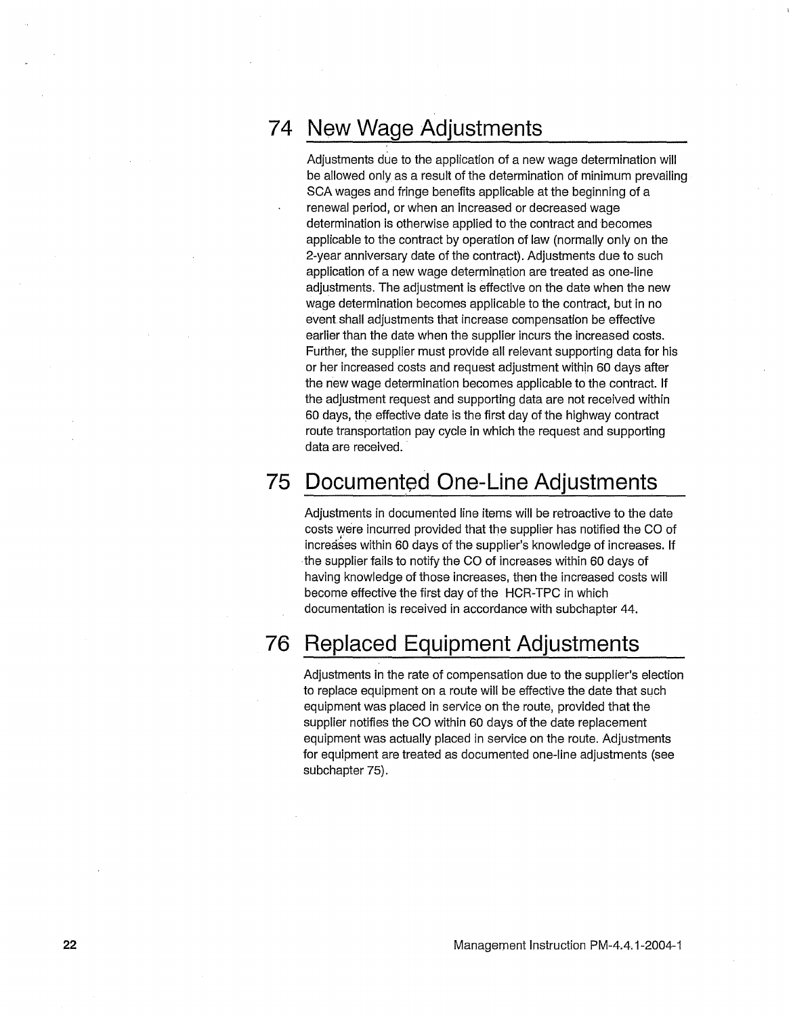### **74 New Wage Adjustments**

Adjustments due to the application of a new wage determination will be allowed only as a result of the determination of minimum prevailing SCA wages and fringe benefits applicable at the beginning of a renewal period, or when an increased or decreased wage determination is otherwise applied to the contract and becomes applicable to the contract by operation of law (normally only on the 2-year anniversary date of the contract). Adjustments due to such application of a new wage determination are treated as one-line adjustments. The adjustment is effective on the date when the new wage determination becomes applicable to the contract, but in no event shall adjustments that increase compensation be effective earlier than the date when the supplier incurs the increased costs. Further, the supplier must provide all relevant supporting data for his or her increased costs and request adjustment within 60 days after the new wage determination becomes applicable to the contract. If the adjustment request and supporting data are not received within 60 days, the effective date is the first day of the highway contract route transportation pay cycle in which the request and supporting data are received.

### **75 Documented One-Line Adjustments**

Adjustments in documented line items will be retroactive to the date costs were incurred provided that the supplier has notified the CO of increases within 60 days of the supplier's knowledge of increases. If the supplier fails to notify the CO of increases within 60 days of having knowledge of those increases, then the increased costs will become effective the first day of the HCR-TPC in which documentation is received in accordance with subchapter 44.

### **76 Replaced Equipment Adjustments**

Adjustments in the rate of compensation due to the supplier's election to replace equipment on a route will be effective the date that such equipment was placed in service on the route, provided that the supplier notifies the CO within 60 days of the date replacement equipment was actually placed in service on the route. Adjustments for equipment are treated as documented one-line adjustments (see subchapter 75).